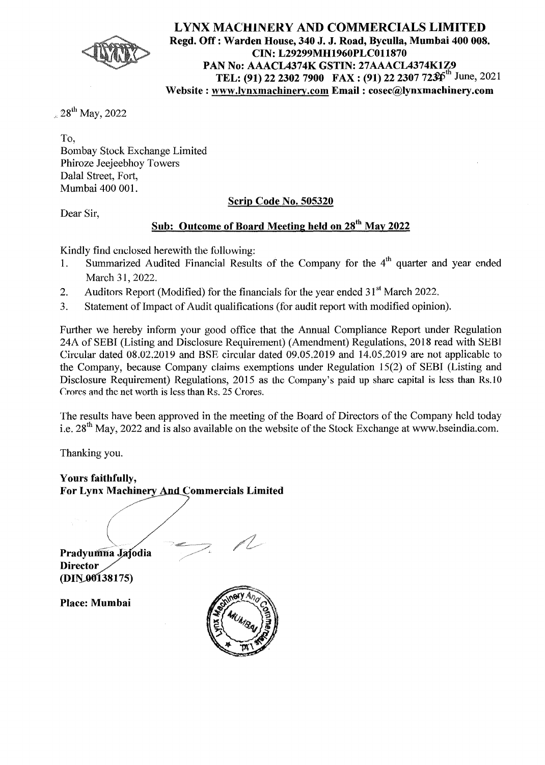

**LYNX MACHINERY AND COMMERCIALS LIMITED Regd. Off** : **Warden House, 340 J. J. Road, Byculla, Mumbai 400 008. CIN: L29299MH1960PLC011870 PAN No: AAACL4374K GSTIN: 27AAACL4374K1Z9 TEL: (91) 22 2302 7900 FAX: (91) 22 2307 723** $\Phi$ **<sup>th</sup> June, 2021 Website: www.lynxmachinery.com Email: cosec@lynxmachinery.com** 

 $.28<sup>th</sup>$  May, 2022

To, Bombay Stock Exchange Limited Phiroze Jeejeebhoy Towers Dalal Street, Fort, Mumbai 400 001.

# **Scrip Code No. 505320**

Dear Sir,

# **Sub: Outcome of Board Meeting held on 28th May 2022**

Kindly find enclosed herewith the following:

- 1. Summarized Audited Financial Results of the Company for the 4<sup>th</sup> quarter and year ended March 31, 2022.
- 2. Auditors Report (Modified) for the financials for the year ended  $31<sup>st</sup>$  March 2022.
- 3. Statement of Impact of Audit qualifications (for audit report with modified opinion).

Further we hereby inform your good office that the Annual Compliance Report under Regulation 24A of SEBI (Listing and Disclosure Requirement) (Amendment) Regulations, 2018 read with SEBI Circular dated 08.02.2019 and BSE circular dated 09.05.2019 and 14.05.2019 are not applicable to the Company, because Company claims exemptions under Regulation 15(2) of SEBI (Listing and Disclosure Requirement) Regulations, 2015 as the Company's paid up share capital is less than Rs.10 Crores and the net worth is less than Rs. 25 Crores.

The results have been approved in the meeting of the Board of Directors of the Company held today i.e. 28<sup>th</sup> May, 2022 and is also available on the website of the Stock Exchange at www.bseindia.com.

Thanking you.

Yours faithfully, **For Lynx Machinery And Commercials Limited** 

Pradyumna Jajodia **Director (DI 138175)** 

*\_(~-*

**Place: Mumbai** 

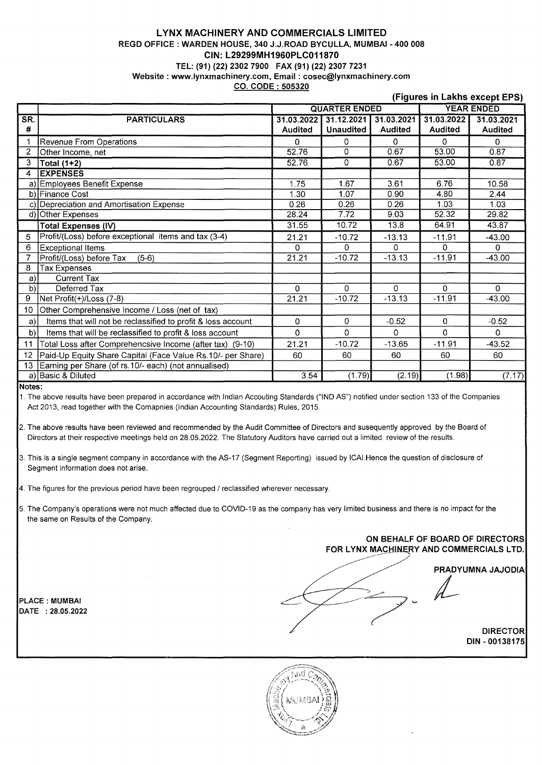#### **LYNX MACHINERY AND COMMERCIALS LIMITED REGD OFFICE : WARDEN HOUSE, 340 J.J.ROAD BYCULLA, MUMBAI · 400 008 CIN: L29299MH1960PLC011870 TEL: (91) (22) 2302 7900 FAX (91) (22) 2307 7231 Website : www.lynxmachinery.com, Email : cosec@lynxmachinery.com CO. CODE : 505320**

**(Figures in Lakhs except EPS)** 

|     |                                                              | <b>QUARTER ENDED</b> |                  |                | <b>YEAR ENDED</b> |                |  |
|-----|--------------------------------------------------------------|----------------------|------------------|----------------|-------------------|----------------|--|
| SR. | <b>PARTICULARS</b>                                           | 31.03.2022           | 31.12.2021       | 31.03.2021     | 31.03.2022        | 31.03.2021     |  |
| #   |                                                              | <b>Audited</b>       | <b>Unaudited</b> | <b>Audited</b> | Audited           | <b>Audited</b> |  |
|     | <b>Revenue From Operations</b>                               | 0                    | 0                | $\Omega$       | 0                 | $\Omega$       |  |
|     | Other Income, net                                            | 52.76                | 0                | 0.67           | 53.00             | 0.87           |  |
| 3   | Total $(1+2)$                                                | 52.76                | 0                | 0.67           | 53,00             | 0.87           |  |
| 4   | <b>EXPENSES</b>                                              |                      |                  |                |                   |                |  |
|     | a) Employees Benefit Expense                                 | 1.75                 | 1.67             | 3.61           | 6.76              | 10.58          |  |
|     | b) Finance Cost                                              | 1.30                 | 1.07             | 0.90           | 4.80              | 2.44           |  |
|     | c) Depreciation and Amortisation Expense                     | 0.26                 | 0.26             | 0.26           | 1.03              | 1.03           |  |
|     | d) Other Expenses                                            | 28.24                | 7.72             | 9.03           | 52.32             | 29.82          |  |
|     | <b>Total Expenses (IV)</b>                                   | 31.55                | 10.72            | 13.8           | 64.91             | 43.87          |  |
| 5   | Profit/(Loss) before exceptional items and tax (3-4)         | 21.21                | $-10.72$         | $-13.13$       | $-11.91$          | $-43.00$       |  |
| 6   | <b>Exceptional Items</b>                                     | 0                    | $\Omega$         | O              | 0                 | 0              |  |
|     | Profit/(Loss) before Tax<br>$(5-6)$                          | 21.21                | $-10.72$         | $-13.13$       | $-11.91$          | $-43.00$       |  |
| 8   | Tax Expenses                                                 |                      |                  |                |                   |                |  |
| a)  | <b>Current Tax</b>                                           |                      |                  |                |                   |                |  |
| b)  | Deferred Tax                                                 | 0                    | $\Omega$         | $\Omega$       | 0                 | $\Omega$       |  |
| 9   | Net Profit(+)/Loss (7-8)                                     | 21.21                | $-10.72$         | $-13.13$       | $-11.91$          | $-43.00$       |  |
| 10  | Other Comprehensive Income / Loss (net of tax)               |                      |                  |                |                   |                |  |
| a)  | Items that will not be reclassified to profit & loss account | 0                    | $\Omega$         | $-0.52$        | $\Omega$          | $-0.52$        |  |
| b)  | Items that will be reclassified to profit & loss account     | $\Omega$             | $\Omega$         | $\Omega$       | $\Omega$          | $\Omega$       |  |
| 11  | Total Loss after Comprehencsive Income (after tax) (9-10)    | 21.21                | $-10.72$         | $-13.65$       | $-11.91$          | $-43.52$       |  |
| 12  | Paid-Up Equity Share Capital (Face Value Rs.10/- per Share)  | 60                   | 60               | 60             | 60                | 60             |  |
|     | 13 Earning per Share (of rs.10/- each) (not annualised)      |                      |                  |                |                   |                |  |
|     | a) Basic & Diluted                                           | 3.54                 | (1.79)           | (2.19)         | (1.98)            | (7.17)         |  |

**Notes:** 

1. The above results have been prepared in accordance with Indian Accouting Standards ("IND AS") notified under section 133 of the Companies Act 2013, read together with the Comapnies (Indian Accounting Standards) Rules, 2015.

2. The above results have been reviewed and recommended by the Audit Committee of Directors and susequently approved by the Board of Directors at their respective meetings held on 28.05.2022. The Statutory Auditors have carried out a limited review of the results.

3. This is a single segment company in accordance with the AS-17 (Segment Reporting) issued by !CAI.Hence the question of disclosure of Segment information does not arise.

4. The figures for the previous period have been regrouped / reclassified wherever necessary.

5. The Company's operations were not much affected due to COVID-19 as the company has very limited business and there is no impact for the the same on Results of the Company.

# **ON BEHALF OF BOARD OF DIRECTORS**  FOR LYNX MA<u>CHINE</u>RY AND COMMERCIALS LTD. ON BEHALF OF BOARD OF DIRECTORS<br>FOR LYNX MACHINERY AND COMMERCIALS LTD.<br>PRADYUMNA JAJODIA

**DIRECTOR DIN - 00138175** 



PLACE : MUMBAI *PRADYUR* PLACE : MUMBAI<br>DATE : 28.05.2022<br>**DATE** : 28.05.2022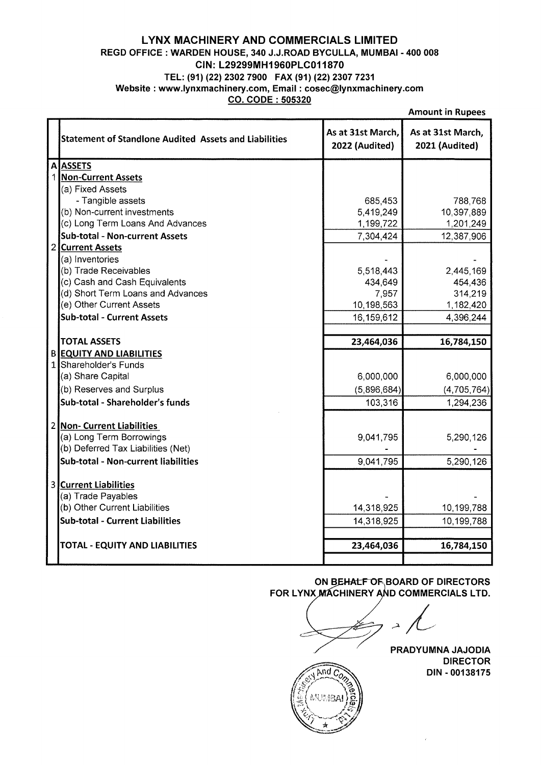## **LYNX MACHINERY AND COMMERCIALS LIMITED REGO OFFICE** : **WARDEN HOUSE, 340 J.J.ROAD BYCULLA, MUMBAI** - **400 008 CIN: L29299MH1960PLC011870 TEL: (91) (22) 2302 7900 FAX (91) (22) 2307 7231 Website: www.lynxmachinery.com, Email: cosec@lynxmachinery.com**

**CO. CODE** : **505320** 

|              |                                                               |                                     | <b>Amount in Rupees</b>                    |
|--------------|---------------------------------------------------------------|-------------------------------------|--------------------------------------------|
|              | <b>Statement of Standlone Audited Assets and Liabilities</b>  | As at 31st March,<br>2022 (Audited) | As at 31st March,<br><b>2021 (Audited)</b> |
|              | <b>A</b> ASSETS                                               |                                     |                                            |
| $\mathbf{1}$ | <b>Non-Current Assets</b>                                     |                                     |                                            |
|              | (a) Fixed Assets                                              |                                     |                                            |
|              | - Tangible assets                                             | 685,453                             | 788,768                                    |
|              | (b) Non-current investments                                   | 5,419,249                           | 10,397,889                                 |
|              | (c) Long Term Loans And Advances                              | 1,199,722                           | 1,201,249                                  |
|              | Sub-total - Non-current Assets                                | 7,304,424                           | 12,387,906                                 |
| 2            | <b>Current Assets</b>                                         |                                     |                                            |
|              | (a) Inventories                                               |                                     |                                            |
|              | (b) Trade Receivables                                         | 5,518,443                           | 2,445,169                                  |
|              | (c) Cash and Cash Equivalents                                 | 434,649                             | 454,436                                    |
|              | (d) Short Term Loans and Advances<br>(e) Other Current Assets | 7,957                               | 314,219                                    |
|              | <b>Sub-total - Current Assets</b>                             | 10,198,563                          | 1,182,420                                  |
|              |                                                               | 16,159,612                          | 4,396,244                                  |
|              | <b>TOTAL ASSETS</b>                                           | 23,464,036                          | 16,784,150                                 |
|              | <b>B EQUITY AND LIABILITIES</b>                               |                                     |                                            |
|              | 1 Shareholder's Funds                                         |                                     |                                            |
|              | (a) Share Capital                                             | 6,000,000                           | 6,000,000                                  |
|              | (b) Reserves and Surplus                                      | (5,896,684)                         | (4,705,764)                                |
|              | Sub-total - Shareholder's funds                               | 103,316                             | 1,294,236                                  |
|              |                                                               |                                     |                                            |
|              | 2 Non- Current Liabilities                                    |                                     |                                            |
|              | (a) Long Term Borrowings                                      | 9,041,795                           | 5,290,126                                  |
|              | (b) Deferred Tax Liabilities (Net)                            |                                     |                                            |
|              | Sub-total - Non-current liabilities                           | 9,041,795                           | 5,290,126                                  |
|              | 3 Current Liabilities                                         |                                     |                                            |
|              | (a) Trade Payables                                            |                                     |                                            |
|              | (b) Other Current Liabilities                                 | 14,318,925                          | 10,199,788                                 |
|              | <b>Sub-total - Current Liabilities</b>                        | 14,318,925                          | 10,199,788                                 |
|              |                                                               |                                     |                                            |
|              | <b>TOTAL - EQUITY AND LIABILITIES</b>                         | 23,464,036                          | 16,784,150                                 |
|              |                                                               |                                     |                                            |

FOR LYNX *I*MACHINERY AND COMMERCIALS LTD. ON BEHALF OF BOARD OF DIRECTORS

**PRADYUMNA JAJODIA DIRECTOR DIN** - **00138175** 

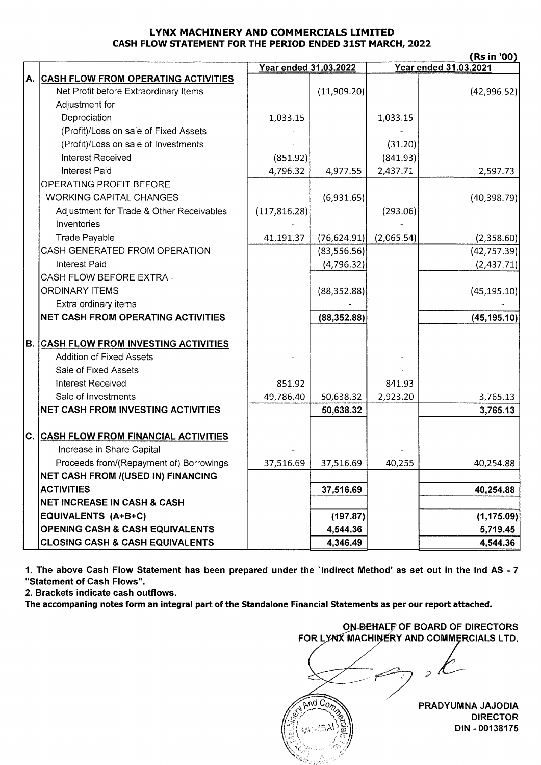### **LYNX MACHINERY AND COMMERCIALS LIMITED CASH FLOW STATEMENT FOR THE PERIOD ENDED 31ST MARCH, 2022**

| <b>Year ended 31.03.2021</b><br><b>Year ended 31.03.2022</b><br>А.<br><b>CASH FLOW FROM OPERATING ACTIVITIES</b><br>(11,909.20)<br>Net Profit before Extraordinary Items<br>(42,996.52)<br>Adjustment for<br>Depreciation<br>1,033.15<br>1,033.15<br>(Profit)/Loss on sale of Fixed Assets<br>(Profit)/Loss on sale of Investments<br>(31.20)<br><b>Interest Received</b><br>(851.92)<br>(841.93)<br><b>Interest Paid</b><br>4,796.32<br>4,977.55<br>2,437.71<br>2,597.73<br>OPERATING PROFIT BEFORE<br><b>WORKING CAPITAL CHANGES</b><br>(6,931.65)<br>(40,398.79)<br>(117, 816.28)<br>(293.06)<br>Adjustment for Trade & Other Receivables<br>Inventories<br><b>Trade Payable</b><br>41,191.37<br>(76, 624.91)<br>(2,065.54)<br>(2,358.60)<br>CASH GENERATED FROM OPERATION<br>(83, 556.56)<br>(42, 757.39)<br><b>Interest Paid</b><br>(4,796.32)<br>(2,437.71)<br><b>CASH FLOW BEFORE EXTRA -</b><br><b>ORDINARY ITEMS</b><br>(88, 352.88)<br>(45, 195.10)<br>Extra ordinary items<br><b>NET CASH FROM OPERATING ACTIVITIES</b><br>(88, 352.88)<br>(45, 195.10)<br><b>B. CASH FLOW FROM INVESTING ACTIVITIES</b><br><b>Addition of Fixed Assets</b><br>Sale of Fixed Assets<br><b>Interest Received</b><br>851.92<br>841.93<br>Sale of Investments<br>49,786.40<br>2,923.20<br>50,638.32<br>3,765.13<br><b>NET CASH FROM INVESTING ACTIVITIES</b><br>50,638.32<br>3,765.13<br><b>CASH FLOW FROM FINANCIAL ACTIVITIES</b><br>Increase in Share Capital<br>Proceeds from/(Repayment of) Borrowings<br>40,254.88<br>37,516.69<br>37,516.69<br>40,255<br><b>NET CASH FROM /(USED IN) FINANCING</b><br><b>ACTIVITIES</b><br>37,516.69<br>40,254.88<br><b>NET INCREASE IN CASH &amp; CASH</b><br><b>EQUIVALENTS (A+B+C)</b><br>(197.87)<br><b>OPENING CASH &amp; CASH EQUIVALENTS</b><br>4,544.36<br>5,719.45<br><b>CLOSING CASH &amp; CASH EQUIVALENTS</b><br>4,346.49<br>4,544.36 |    | (Rs in '00) |  |  |  |  |  |
|----------------------------------------------------------------------------------------------------------------------------------------------------------------------------------------------------------------------------------------------------------------------------------------------------------------------------------------------------------------------------------------------------------------------------------------------------------------------------------------------------------------------------------------------------------------------------------------------------------------------------------------------------------------------------------------------------------------------------------------------------------------------------------------------------------------------------------------------------------------------------------------------------------------------------------------------------------------------------------------------------------------------------------------------------------------------------------------------------------------------------------------------------------------------------------------------------------------------------------------------------------------------------------------------------------------------------------------------------------------------------------------------------------------------------------------------------------------------------------------------------------------------------------------------------------------------------------------------------------------------------------------------------------------------------------------------------------------------------------------------------------------------------------------------------------------------------------------------------------------------------------|----|-------------|--|--|--|--|--|
| (1, 175.09)                                                                                                                                                                                                                                                                                                                                                                                                                                                                                                                                                                                                                                                                                                                                                                                                                                                                                                                                                                                                                                                                                                                                                                                                                                                                                                                                                                                                                                                                                                                                                                                                                                                                                                                                                                                                                                                                      |    |             |  |  |  |  |  |
|                                                                                                                                                                                                                                                                                                                                                                                                                                                                                                                                                                                                                                                                                                                                                                                                                                                                                                                                                                                                                                                                                                                                                                                                                                                                                                                                                                                                                                                                                                                                                                                                                                                                                                                                                                                                                                                                                  |    |             |  |  |  |  |  |
|                                                                                                                                                                                                                                                                                                                                                                                                                                                                                                                                                                                                                                                                                                                                                                                                                                                                                                                                                                                                                                                                                                                                                                                                                                                                                                                                                                                                                                                                                                                                                                                                                                                                                                                                                                                                                                                                                  |    |             |  |  |  |  |  |
|                                                                                                                                                                                                                                                                                                                                                                                                                                                                                                                                                                                                                                                                                                                                                                                                                                                                                                                                                                                                                                                                                                                                                                                                                                                                                                                                                                                                                                                                                                                                                                                                                                                                                                                                                                                                                                                                                  |    |             |  |  |  |  |  |
|                                                                                                                                                                                                                                                                                                                                                                                                                                                                                                                                                                                                                                                                                                                                                                                                                                                                                                                                                                                                                                                                                                                                                                                                                                                                                                                                                                                                                                                                                                                                                                                                                                                                                                                                                                                                                                                                                  |    |             |  |  |  |  |  |
|                                                                                                                                                                                                                                                                                                                                                                                                                                                                                                                                                                                                                                                                                                                                                                                                                                                                                                                                                                                                                                                                                                                                                                                                                                                                                                                                                                                                                                                                                                                                                                                                                                                                                                                                                                                                                                                                                  |    |             |  |  |  |  |  |
|                                                                                                                                                                                                                                                                                                                                                                                                                                                                                                                                                                                                                                                                                                                                                                                                                                                                                                                                                                                                                                                                                                                                                                                                                                                                                                                                                                                                                                                                                                                                                                                                                                                                                                                                                                                                                                                                                  |    |             |  |  |  |  |  |
|                                                                                                                                                                                                                                                                                                                                                                                                                                                                                                                                                                                                                                                                                                                                                                                                                                                                                                                                                                                                                                                                                                                                                                                                                                                                                                                                                                                                                                                                                                                                                                                                                                                                                                                                                                                                                                                                                  |    |             |  |  |  |  |  |
|                                                                                                                                                                                                                                                                                                                                                                                                                                                                                                                                                                                                                                                                                                                                                                                                                                                                                                                                                                                                                                                                                                                                                                                                                                                                                                                                                                                                                                                                                                                                                                                                                                                                                                                                                                                                                                                                                  |    |             |  |  |  |  |  |
|                                                                                                                                                                                                                                                                                                                                                                                                                                                                                                                                                                                                                                                                                                                                                                                                                                                                                                                                                                                                                                                                                                                                                                                                                                                                                                                                                                                                                                                                                                                                                                                                                                                                                                                                                                                                                                                                                  |    |             |  |  |  |  |  |
|                                                                                                                                                                                                                                                                                                                                                                                                                                                                                                                                                                                                                                                                                                                                                                                                                                                                                                                                                                                                                                                                                                                                                                                                                                                                                                                                                                                                                                                                                                                                                                                                                                                                                                                                                                                                                                                                                  |    |             |  |  |  |  |  |
|                                                                                                                                                                                                                                                                                                                                                                                                                                                                                                                                                                                                                                                                                                                                                                                                                                                                                                                                                                                                                                                                                                                                                                                                                                                                                                                                                                                                                                                                                                                                                                                                                                                                                                                                                                                                                                                                                  |    |             |  |  |  |  |  |
|                                                                                                                                                                                                                                                                                                                                                                                                                                                                                                                                                                                                                                                                                                                                                                                                                                                                                                                                                                                                                                                                                                                                                                                                                                                                                                                                                                                                                                                                                                                                                                                                                                                                                                                                                                                                                                                                                  |    |             |  |  |  |  |  |
|                                                                                                                                                                                                                                                                                                                                                                                                                                                                                                                                                                                                                                                                                                                                                                                                                                                                                                                                                                                                                                                                                                                                                                                                                                                                                                                                                                                                                                                                                                                                                                                                                                                                                                                                                                                                                                                                                  |    |             |  |  |  |  |  |
|                                                                                                                                                                                                                                                                                                                                                                                                                                                                                                                                                                                                                                                                                                                                                                                                                                                                                                                                                                                                                                                                                                                                                                                                                                                                                                                                                                                                                                                                                                                                                                                                                                                                                                                                                                                                                                                                                  |    |             |  |  |  |  |  |
|                                                                                                                                                                                                                                                                                                                                                                                                                                                                                                                                                                                                                                                                                                                                                                                                                                                                                                                                                                                                                                                                                                                                                                                                                                                                                                                                                                                                                                                                                                                                                                                                                                                                                                                                                                                                                                                                                  |    |             |  |  |  |  |  |
|                                                                                                                                                                                                                                                                                                                                                                                                                                                                                                                                                                                                                                                                                                                                                                                                                                                                                                                                                                                                                                                                                                                                                                                                                                                                                                                                                                                                                                                                                                                                                                                                                                                                                                                                                                                                                                                                                  |    |             |  |  |  |  |  |
|                                                                                                                                                                                                                                                                                                                                                                                                                                                                                                                                                                                                                                                                                                                                                                                                                                                                                                                                                                                                                                                                                                                                                                                                                                                                                                                                                                                                                                                                                                                                                                                                                                                                                                                                                                                                                                                                                  |    |             |  |  |  |  |  |
|                                                                                                                                                                                                                                                                                                                                                                                                                                                                                                                                                                                                                                                                                                                                                                                                                                                                                                                                                                                                                                                                                                                                                                                                                                                                                                                                                                                                                                                                                                                                                                                                                                                                                                                                                                                                                                                                                  |    |             |  |  |  |  |  |
|                                                                                                                                                                                                                                                                                                                                                                                                                                                                                                                                                                                                                                                                                                                                                                                                                                                                                                                                                                                                                                                                                                                                                                                                                                                                                                                                                                                                                                                                                                                                                                                                                                                                                                                                                                                                                                                                                  |    |             |  |  |  |  |  |
|                                                                                                                                                                                                                                                                                                                                                                                                                                                                                                                                                                                                                                                                                                                                                                                                                                                                                                                                                                                                                                                                                                                                                                                                                                                                                                                                                                                                                                                                                                                                                                                                                                                                                                                                                                                                                                                                                  |    |             |  |  |  |  |  |
|                                                                                                                                                                                                                                                                                                                                                                                                                                                                                                                                                                                                                                                                                                                                                                                                                                                                                                                                                                                                                                                                                                                                                                                                                                                                                                                                                                                                                                                                                                                                                                                                                                                                                                                                                                                                                                                                                  |    |             |  |  |  |  |  |
|                                                                                                                                                                                                                                                                                                                                                                                                                                                                                                                                                                                                                                                                                                                                                                                                                                                                                                                                                                                                                                                                                                                                                                                                                                                                                                                                                                                                                                                                                                                                                                                                                                                                                                                                                                                                                                                                                  |    |             |  |  |  |  |  |
|                                                                                                                                                                                                                                                                                                                                                                                                                                                                                                                                                                                                                                                                                                                                                                                                                                                                                                                                                                                                                                                                                                                                                                                                                                                                                                                                                                                                                                                                                                                                                                                                                                                                                                                                                                                                                                                                                  |    |             |  |  |  |  |  |
|                                                                                                                                                                                                                                                                                                                                                                                                                                                                                                                                                                                                                                                                                                                                                                                                                                                                                                                                                                                                                                                                                                                                                                                                                                                                                                                                                                                                                                                                                                                                                                                                                                                                                                                                                                                                                                                                                  |    |             |  |  |  |  |  |
|                                                                                                                                                                                                                                                                                                                                                                                                                                                                                                                                                                                                                                                                                                                                                                                                                                                                                                                                                                                                                                                                                                                                                                                                                                                                                                                                                                                                                                                                                                                                                                                                                                                                                                                                                                                                                                                                                  |    |             |  |  |  |  |  |
|                                                                                                                                                                                                                                                                                                                                                                                                                                                                                                                                                                                                                                                                                                                                                                                                                                                                                                                                                                                                                                                                                                                                                                                                                                                                                                                                                                                                                                                                                                                                                                                                                                                                                                                                                                                                                                                                                  | C. |             |  |  |  |  |  |
|                                                                                                                                                                                                                                                                                                                                                                                                                                                                                                                                                                                                                                                                                                                                                                                                                                                                                                                                                                                                                                                                                                                                                                                                                                                                                                                                                                                                                                                                                                                                                                                                                                                                                                                                                                                                                                                                                  |    |             |  |  |  |  |  |
|                                                                                                                                                                                                                                                                                                                                                                                                                                                                                                                                                                                                                                                                                                                                                                                                                                                                                                                                                                                                                                                                                                                                                                                                                                                                                                                                                                                                                                                                                                                                                                                                                                                                                                                                                                                                                                                                                  |    |             |  |  |  |  |  |
|                                                                                                                                                                                                                                                                                                                                                                                                                                                                                                                                                                                                                                                                                                                                                                                                                                                                                                                                                                                                                                                                                                                                                                                                                                                                                                                                                                                                                                                                                                                                                                                                                                                                                                                                                                                                                                                                                  |    |             |  |  |  |  |  |
|                                                                                                                                                                                                                                                                                                                                                                                                                                                                                                                                                                                                                                                                                                                                                                                                                                                                                                                                                                                                                                                                                                                                                                                                                                                                                                                                                                                                                                                                                                                                                                                                                                                                                                                                                                                                                                                                                  |    |             |  |  |  |  |  |
|                                                                                                                                                                                                                                                                                                                                                                                                                                                                                                                                                                                                                                                                                                                                                                                                                                                                                                                                                                                                                                                                                                                                                                                                                                                                                                                                                                                                                                                                                                                                                                                                                                                                                                                                                                                                                                                                                  |    |             |  |  |  |  |  |
|                                                                                                                                                                                                                                                                                                                                                                                                                                                                                                                                                                                                                                                                                                                                                                                                                                                                                                                                                                                                                                                                                                                                                                                                                                                                                                                                                                                                                                                                                                                                                                                                                                                                                                                                                                                                                                                                                  |    |             |  |  |  |  |  |
|                                                                                                                                                                                                                                                                                                                                                                                                                                                                                                                                                                                                                                                                                                                                                                                                                                                                                                                                                                                                                                                                                                                                                                                                                                                                                                                                                                                                                                                                                                                                                                                                                                                                                                                                                                                                                                                                                  |    |             |  |  |  |  |  |
|                                                                                                                                                                                                                                                                                                                                                                                                                                                                                                                                                                                                                                                                                                                                                                                                                                                                                                                                                                                                                                                                                                                                                                                                                                                                                                                                                                                                                                                                                                                                                                                                                                                                                                                                                                                                                                                                                  |    |             |  |  |  |  |  |

**1. The above Cash Flow Statement has been prepared under the 'Indirect Method' as set out in the Ind AS - 7 "Statement of Cash Flows".** 

**2. Brackets indicate cash outflows.** 

**The accompaning notes form an integral part of the Standalone Financial Statements as per our report attached.** 

**ON BEHALF OF BOARD OF DIRECTORS** FOR LYNX MACHINERY AND COMMERCIALS LTD.  $\approx 0$ **PRADYUMNA JAJODIA DIRECTOR DIN - 00138175**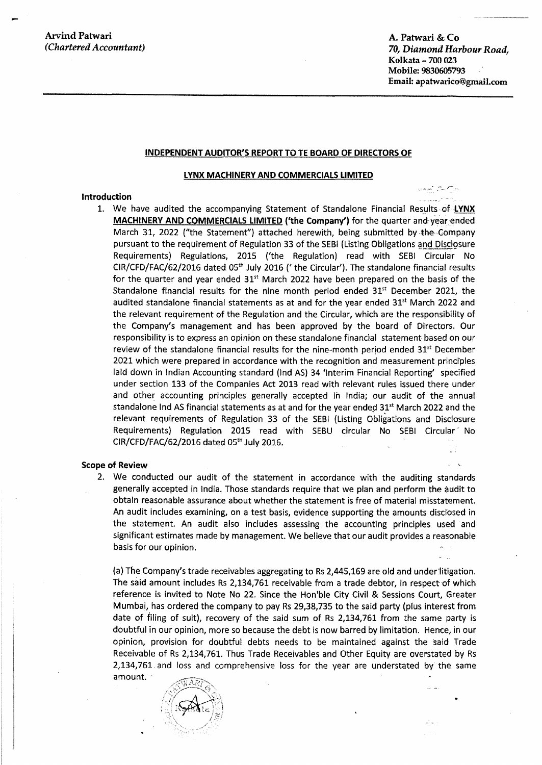Arvind Patwari **A. Patwari** *A. Patwari & Co**A. Patwari & Co**A. Patwari & Co**A. Patwari & Co**A. Patwari & Co**A. Patwari & Co**A. Patwari & Co**A. Patwari & Co**A. Patwari & Co**A. Patwari & Co**A. Patwari A.* 

*( Chartered Accountant)* **70,** *Diamond Harbour Road,*  **Kolkata** - **700 023 Mobile: 9830605793 Email: apatwarico@gmail.com** 

#### **INDEPENDENT AUDITOR'S REPORT TO TE BOARD OF DIRECTORS OF**

#### **LYNX MACHINERY AND COMMERCIALS LIMITED**

#### **Introduction**

1. We have audited the accompanying Statement of Standalone Financial Results-of **LYNX MACHINERY AND COMMERCIALS LIMITED ('the Company')** for the quarter and-year ended March 31, 2022 ("the Statement") attached herewith, being submitted by the--Company pursuant to the requirement of Regulation 33 of the SEBI (Listing Obligations and Disclosure Requirements) Regulations, 2015 ('the Regulation) read with SEBI Circular No CIR/CFD/FAC/62/2016 dated 05th July 2016 (' the Circular'). The standalone financial results for the quarter and year ended  $31<sup>st</sup>$  March 2022 have been prepared on the basis of the Standalone financial results for the nine month period ended  $31<sup>st</sup>$  December 2021, the audited standalone financial statements as at and for the year ended 31<sup>st</sup> March 2022 and the relevant requirement of the Regulation and the Circular, which are the responsibility of the Company's management and has been approved by the board of Directors. Our responsibility is to express an opinion on these standalone financial statement based on our review of the standalone financial results for the nine-month period ended  $31<sup>st</sup>$  December 2021 which were prepared in accordance with the recognition and measurement principles laid down in Indian Accounting standard (Ind AS) 34 'Interim Financial Reporting' specified under section 133 of the Companies Act 2013 read with relevant rules issued there under and other accounting principles generally accepted in India; our audit of the annual standalone Ind AS financial statements as at and for the year ended  $31^{st}$  March 2022 and the relevant requirements of Regulation 33 of the SEBI (Listing Obligations and Disclosure Requirements) Regulation 2015 read with SEBU circular No SEBI Circular No CIR/CFD/FAC/62/2016 dated 05th July 2016.

#### **Scope of Review**

2. We conducted our audit of the statement in accordance with the auditing standards generally accepted in India. Those standards require that we plan and perform the audit to obtain reasonable assurance about whether the statement is free of material misstatement. An audit includes examining, on a test basis, evidence supporting the amounts disclosed in the statement. An audit also includes assessing the accounting principles used and significant estimates made by management. We believe that our audit provides a reasonable basis for our opinion.

(a) The Company's trade receivables aggregating to Rs 2,445,169 are old and under litigation. The said amount includes Rs 2,134,761 receivable from a trade debtor, in respect of which reference is invited to Note No 22. Since the Hon'ble City Civil & Sessions Court, Greater Mumbai, has ordered the company to pay Rs 29,38,735 to the said party (plus interest from date of filing of suit), recovery of the said sum of Rs 2,134,761 from the same party is doubtful in our opinion, more so because the debt is now barred by limitation. Hence, in our opinion, provision for doubtful debts needs to be maintained against the said Trade Receivable of Rs 2,134,761. Thus Trade Receivables and Other Equity are overstated by Rs 2,134,761 and loss and comprehensive loss for the year are understated by the same amount.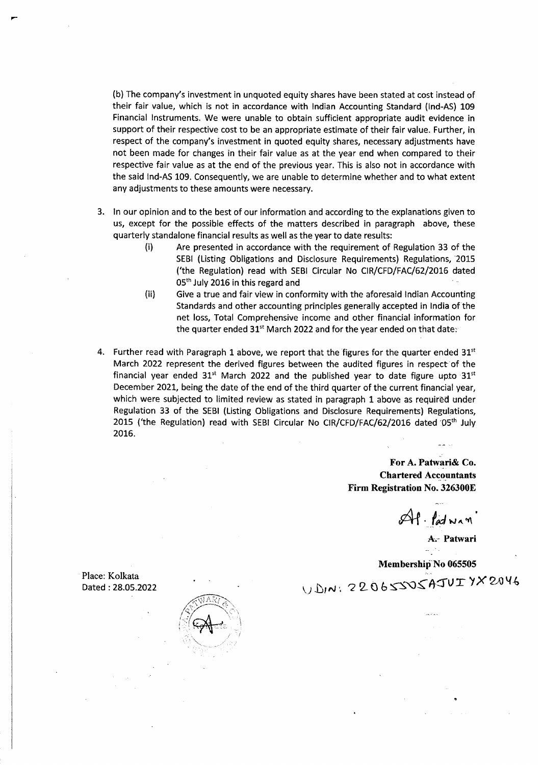(b) The company's investment in unquoted equity shares have been stated at cost instead of their fair value, which is not in accordance with Indian Accounting Standard (Ind-AS) 109 Financial Instruments. We were unable to obtain sufficient appropriate audit evidence in support of their respective cost to be an appropriate estimate of their fair value. Further, in respect of the company's investment in quoted equity shares, necessary adjustments have not been made for changes in their fair value as at the year end when compared to their respective fair value as at the end of the previous year. This is also not in accordance with the said Ind-AS 109. Consequently, we are unable to determine whether and to what extent any adjustments to these amounts were necessary.

- 3. In our opinion and to the best of our information and according to the explanations given to us, except for the possible effects of the matters described in paragraph above, these quarterly standalone financial results as well as the year to date results:
	- (i) Are presented in accordance with the requirement of Regulation 33 of the SEBI (Listing Obligations and Disclosure Requirements) Regulations, '2015 ('the Regulation) read with SEBI Circular No CIR/CFD/FAC/62/2016 dated 05<sup>th</sup> July 2016 in this regard and
	- (ii) Give a true and fair view in conformity with the aforesaid Indian Accounting Standards and other accounting principles generally accepted in India of the net loss, Total Comprehensive income and other financial information for the quarter ended 31<sup>st</sup> March 2022 and for the year ended on that date:
- 4. Further read with Paragraph 1 above, we report that the figures for the quarter ended  $31<sup>st</sup>$ March 2022 represent the derived figures between the audited figures in respect of the financial year ended  $31^{st}$  March 2022 and the published year to date figure upto  $31^{st}$ December 2021, being the date of the end of the third quarter of the current financial year, which were subjected to limited review as stated in paragraph 1 above as required under Regulation 33 of the SEBI (Listing Obligations and Disclosure Requirements) Regulations, 2015 ('the Regulation) read with SEBI Circular No CIR/CFD/FAC/62/2016 dated 05<sup>th</sup> July 2016.

**For A. Patwari& Co. Chartered Accountants Firm Registration No. 326300E** 

Af fatwan

**A.-- Patwari** 

**Membership-No 065505** 

 $U$   $D$ , N; 22065505AJUI Y X 2046

Place: Kolkata Dated : 28.05.2022

,....

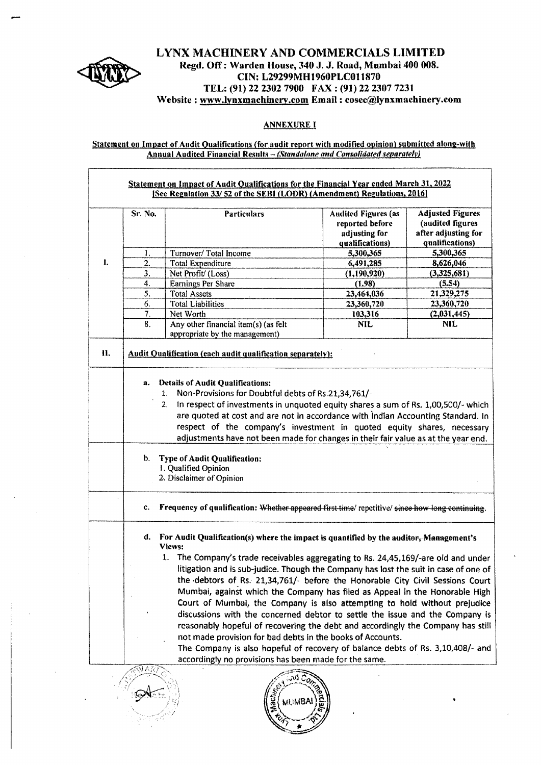

 $\sqrt{ }$ 

### LYNX MACHINERY AND COMMERCIALS LIMITED Regd. Off: Warden House, 340 J. J. Road, Mumbai 400 008. CIN: L29299MH1960PLC0t 1870 TEL: (91) 22 2302 7900 FAX: (91) 22 2307 7231 Website: www.lynxmachinery.com Email: cosec@lynxmachinery.com

٦

### ANNEXUREI

#### Statement on Impact of Audit Qualifications (for audit report with modified opinion) submitted along-with <u>Annual Audited Financial Results - (Standalone and Consolidated separately)</u>

|                                                                                                                                                                                                                                                                                                                                         | Sr. No.                                                                                                                                                                                                                                                                                                                     | <b>Particulars</b>                                                             | <b>Audited Figures (as</b><br>reported before<br>adjusting for<br>qualifications) | <b>Adjusted Figures</b><br>(audited figures<br>after adjusting for<br>qualifications) |  |  |
|-----------------------------------------------------------------------------------------------------------------------------------------------------------------------------------------------------------------------------------------------------------------------------------------------------------------------------------------|-----------------------------------------------------------------------------------------------------------------------------------------------------------------------------------------------------------------------------------------------------------------------------------------------------------------------------|--------------------------------------------------------------------------------|-----------------------------------------------------------------------------------|---------------------------------------------------------------------------------------|--|--|
|                                                                                                                                                                                                                                                                                                                                         | 1,                                                                                                                                                                                                                                                                                                                          | Turnover/Total Income                                                          | 5,300,365                                                                         | 5,300,365                                                                             |  |  |
| L                                                                                                                                                                                                                                                                                                                                       | 2.                                                                                                                                                                                                                                                                                                                          | <b>Total Expenditure</b>                                                       | 6,491,285                                                                         | 8,626,046                                                                             |  |  |
|                                                                                                                                                                                                                                                                                                                                         | 3.                                                                                                                                                                                                                                                                                                                          | Net Profit/ (Loss)                                                             | (1, 190, 920)                                                                     | (3,325,681)                                                                           |  |  |
|                                                                                                                                                                                                                                                                                                                                         | 4.                                                                                                                                                                                                                                                                                                                          | <b>Earnings Per Share</b>                                                      | (1.98)                                                                            | (5.54)                                                                                |  |  |
|                                                                                                                                                                                                                                                                                                                                         | 5.                                                                                                                                                                                                                                                                                                                          | <b>Total Assets</b>                                                            | 23,464,036                                                                        | 21,329,275                                                                            |  |  |
|                                                                                                                                                                                                                                                                                                                                         | 6.                                                                                                                                                                                                                                                                                                                          | <b>Total Liabilities</b>                                                       | 23,360,720                                                                        | 23,360,720                                                                            |  |  |
|                                                                                                                                                                                                                                                                                                                                         | 7.                                                                                                                                                                                                                                                                                                                          | Net Worth                                                                      | 103,316                                                                           | (2,031,445)                                                                           |  |  |
|                                                                                                                                                                                                                                                                                                                                         | 8.                                                                                                                                                                                                                                                                                                                          | Any other financial item(s) (as felt                                           | <b>NIL</b>                                                                        | <b>NIL</b>                                                                            |  |  |
|                                                                                                                                                                                                                                                                                                                                         |                                                                                                                                                                                                                                                                                                                             | appropriate by the management)                                                 |                                                                                   |                                                                                       |  |  |
| are quoted at cost and are not in accordance with Indian Accounting Standard. In<br>respect of the company's investment in quoted equity shares, necessary<br>adjustments have not been made for changes in their fair value as at the year end.<br>$\mathbf{b}_{\cdot}$<br><b>Type of Audit Qualification:</b><br>1. Qualified Opinion |                                                                                                                                                                                                                                                                                                                             |                                                                                |                                                                                   |                                                                                       |  |  |
|                                                                                                                                                                                                                                                                                                                                         | 2. Disclaimer of Opinion<br>Frequency of qualification: Whether appeared first time/ repetitive/ since how long continuing.<br>c.                                                                                                                                                                                           |                                                                                |                                                                                   |                                                                                       |  |  |
| d.<br>For Audit Qualification(s) where the impact is quantified by the auditor, Management's<br>Views:                                                                                                                                                                                                                                  |                                                                                                                                                                                                                                                                                                                             |                                                                                |                                                                                   |                                                                                       |  |  |
|                                                                                                                                                                                                                                                                                                                                         | 1. The Company's trade receivables aggregating to Rs. 24,45,169/-are old and under<br>litigation and is sub-judice. Though the Company has lost the suit in case of one of<br>the debtors of Rs. 21,34,761/- before the Honorable City Civil Sessions Court                                                                 |                                                                                |                                                                                   |                                                                                       |  |  |
|                                                                                                                                                                                                                                                                                                                                         | Mumbai, against which the Company has filed as Appeal in the Honorable High<br>Court of Mumbai, the Company is also attempting to hold without prejudice<br>discussions with the concerned debtor to settle the issue and the Company is<br>reasonably hopeful of recovering the debt and accordingly the Company has still |                                                                                |                                                                                   |                                                                                       |  |  |
|                                                                                                                                                                                                                                                                                                                                         |                                                                                                                                                                                                                                                                                                                             | not made provision for bad debts in the books of Accounts.                     |                                                                                   |                                                                                       |  |  |
|                                                                                                                                                                                                                                                                                                                                         |                                                                                                                                                                                                                                                                                                                             | The Company is also hopeful of recovery of balance debts of Rs. 3,10,408/- and |                                                                                   |                                                                                       |  |  |
|                                                                                                                                                                                                                                                                                                                                         |                                                                                                                                                                                                                                                                                                                             | accordingly no provisions has been made for the same.                          |                                                                                   |                                                                                       |  |  |
|                                                                                                                                                                                                                                                                                                                                         |                                                                                                                                                                                                                                                                                                                             | se<br>F                                                                        |                                                                                   |                                                                                       |  |  |

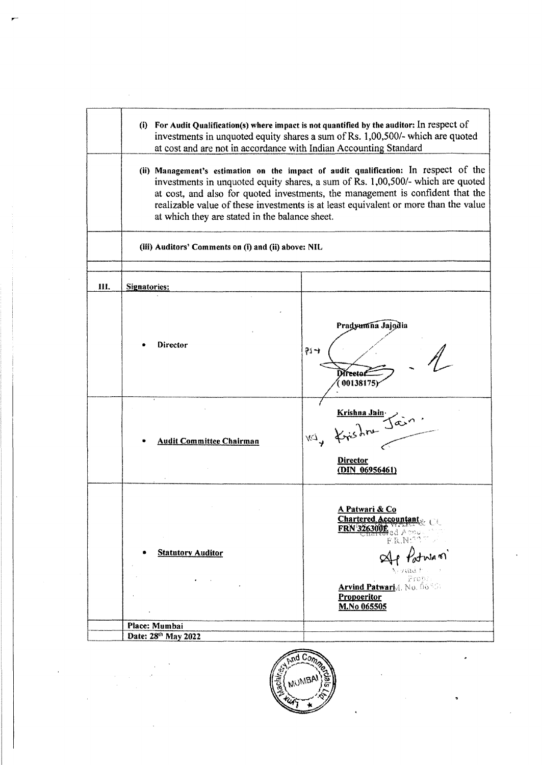